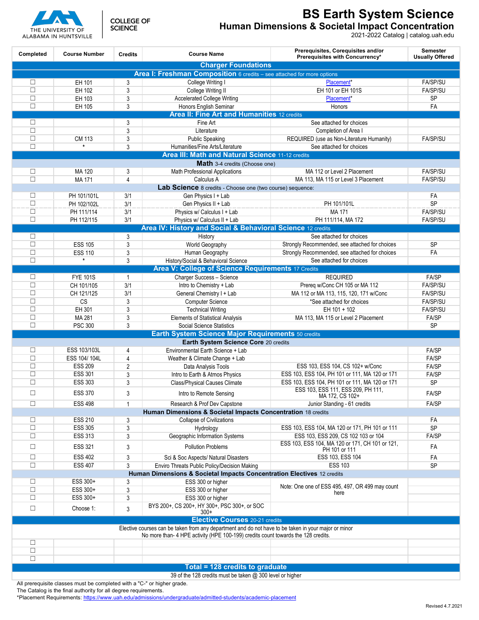## **BS Earth System Science**

**Human Dimensions & Societal Impact Concentration**

2021-2022 Catalog | catalog.uah.edu

| Completed                                                                                            | <b>Course Number</b>                  | <b>Credits</b> | <b>Course Name</b>                                                               | Prerequisites, Corequisites and/or<br>Prerequisites with Concurrency* | <b>Semester</b><br><b>Usually Offered</b> |  |  |
|------------------------------------------------------------------------------------------------------|---------------------------------------|----------------|----------------------------------------------------------------------------------|-----------------------------------------------------------------------|-------------------------------------------|--|--|
| <b>Charger Foundations</b>                                                                           |                                       |                |                                                                                  |                                                                       |                                           |  |  |
|                                                                                                      |                                       |                | Area I: Freshman Composition 6 credits - see attached for more options           |                                                                       |                                           |  |  |
| □                                                                                                    | EH 101                                | 3              | College Writing I                                                                | Placement*                                                            | FA/SP/SU                                  |  |  |
| $\Box$                                                                                               | EH 102                                | 3              | College Writing II                                                               | EH 101 or EH 101S                                                     | <b>FA/SP/SU</b>                           |  |  |
| $\Box$                                                                                               | EH 103                                | 3              | <b>Accelerated College Writing</b>                                               | Placement*                                                            | SP                                        |  |  |
| $\Box$                                                                                               | EH 105                                | 3              | Honors English Seminar                                                           | Honors                                                                | FA                                        |  |  |
| <b>Area II: Fine Art and Humanities 12 credits</b>                                                   |                                       |                |                                                                                  |                                                                       |                                           |  |  |
| □                                                                                                    |                                       | 3              | Fine Art                                                                         | See attached for choices                                              |                                           |  |  |
| $\Box$                                                                                               |                                       | 3              | Literature                                                                       | Completion of Area I                                                  |                                           |  |  |
| П                                                                                                    | CM 113                                | 3              | <b>Public Speaking</b>                                                           | REQUIRED (use as Non-Literature Humanity)                             | FA/SP/SU                                  |  |  |
| П                                                                                                    | $\star$                               | 3              | Humanities/Fine Arts/Literature                                                  | See attached for choices                                              |                                           |  |  |
| Area III: Math and Natural Science 11-12 credits                                                     |                                       |                |                                                                                  |                                                                       |                                           |  |  |
|                                                                                                      |                                       |                | Math 3-4 credits (Choose one)                                                    |                                                                       |                                           |  |  |
| □                                                                                                    | MA 120                                | 3              | <b>Math Professional Applications</b>                                            | MA 112 or Level 2 Placement                                           | <b>FA/SP/SU</b>                           |  |  |
| П                                                                                                    | MA 171                                | 4              | Calculus A                                                                       | MA 113, MA 115 or Level 3 Placement                                   | FA/SP/SU                                  |  |  |
|                                                                                                      |                                       |                | Lab Science 8 credits - Choose one (two course) sequence:                        |                                                                       |                                           |  |  |
| □                                                                                                    | PH 101/101L                           | 3/1            | Gen Physics I + Lab                                                              |                                                                       | FA                                        |  |  |
| $\Box$                                                                                               | PH 102/102L                           | 3/1            | Gen Physics II + Lab                                                             | PH 101/101L                                                           | <b>SP</b>                                 |  |  |
| $\Box$                                                                                               | PH 111/114                            | 3/1            | Physics w/ Calculus I + Lab                                                      | MA 171                                                                | <b>FA/SP/SU</b>                           |  |  |
| $\Box$                                                                                               | PH 112/115                            | 3/1            | Physics w/ Calculus II + Lab                                                     | PH 111/114, MA 172                                                    | FA/SP/SU                                  |  |  |
|                                                                                                      |                                       |                | Area IV: History and Social & Behavioral Science 12 credits                      |                                                                       |                                           |  |  |
| □                                                                                                    |                                       | 3              | History                                                                          | See attached for choices                                              |                                           |  |  |
| $\Box$                                                                                               | <b>ESS 105</b>                        | 3              | World Geography                                                                  | Strongly Recommended, see attached for choices                        | <b>SP</b>                                 |  |  |
| $\Box$                                                                                               | <b>ESS 110</b>                        | 3              | Human Geography                                                                  | Strongly Recommended, see attached for choices                        | FA                                        |  |  |
| П                                                                                                    | $\star$                               | 3              | History/Social & Behavioral Science                                              | See attached for choices                                              |                                           |  |  |
|                                                                                                      |                                       |                | <b>Area V: College of Science Requirements 17 Credits</b>                        |                                                                       |                                           |  |  |
| П                                                                                                    | <b>FYE 101S</b>                       | $\overline{1}$ | Charger Success - Science                                                        | <b>REQUIRED</b>                                                       | FA/SP                                     |  |  |
| $\Box$                                                                                               | CH 101/105                            | 3/1            | Intro to Chemistry + Lab                                                         | Prereq w/Conc CH 105 or MA 112                                        | FA/SP/SU                                  |  |  |
| П                                                                                                    | CH 121/125                            | 3/1            | General Chemistry I + Lab                                                        | MA 112 or MA 113, 115, 120, 171 w/Conc                                | <b>FA/SP/SU</b>                           |  |  |
| П                                                                                                    | CS                                    | 3              | Computer Science                                                                 | *See attached for choices                                             | FA/SP/SU                                  |  |  |
| $\Box$                                                                                               | EH 301                                | 3              | <b>Technical Writing</b>                                                         | EH 101 + 102                                                          | <b>FA/SP/SU</b>                           |  |  |
| $\Box$                                                                                               | MA 281                                | 3              | <b>Elements of Statistical Analysis</b>                                          | MA 113, MA 115 or Level 2 Placement                                   | FA/SP                                     |  |  |
| П                                                                                                    | <b>PSC 300</b>                        | 3              | <b>Social Science Statistics</b>                                                 |                                                                       | <b>SP</b>                                 |  |  |
| Earth System Science Major Requirements 50 credits                                                   |                                       |                |                                                                                  |                                                                       |                                           |  |  |
|                                                                                                      |                                       |                | Earth System Science Core 20 credits                                             |                                                                       |                                           |  |  |
| □                                                                                                    | ESS 103/103L                          | 4              | Environmental Earth Science + Lab                                                |                                                                       | FA/SP                                     |  |  |
| $\Box$                                                                                               | ESS 104/104L                          | 4              | Weather & Climate Change + Lab                                                   |                                                                       | FA/SP                                     |  |  |
| П                                                                                                    | <b>ESS 209</b>                        | $\overline{2}$ | Data Analysis Tools                                                              | ESS 103, ESS 104, CS 102+ w/Conc                                      | FA/SP                                     |  |  |
| $\Box$                                                                                               | <b>ESS 301</b>                        | 3              | Intro to Earth & Atmos Physics                                                   | ESS 103, ESS 104, PH 101 or 111, MA 120 or 171                        | FA/SP                                     |  |  |
| $\Box$                                                                                               | <b>ESS 303</b>                        | 3              | <b>Class/Physical Causes Climate</b>                                             | ESS 103, ESS 104, PH 101 or 111, MA 120 or 171                        | SP                                        |  |  |
| $\Box$                                                                                               | <b>ESS 370</b>                        | 3              | Intro to Remote Sensing                                                          | ESS 103, ESS 111, ESS 209, PH 111,<br>MA 172, CS 102+                 | FA/SP                                     |  |  |
| □                                                                                                    | <b>ESS 498</b>                        | $\mathbf{1}$   | Research & Prof Dev Capstone                                                     | Junior Standing - 61 credits                                          | FA/SP                                     |  |  |
|                                                                                                      |                                       |                | Human Dimensions & Societal Impacts Concentration 18 credits                     |                                                                       |                                           |  |  |
| □                                                                                                    | <b>ESS 210</b>                        | 3              | Collapse of Civilizations                                                        |                                                                       | FA                                        |  |  |
| $\Box$                                                                                               | <b>ESS 305</b>                        | 3              | Hydrology                                                                        | ESS 103, ESS 104, MA 120 or 171, PH 101 or 111                        | <b>SP</b>                                 |  |  |
| $\Box$                                                                                               | <b>ESS 313</b>                        | 3              | Geographic Information Systems                                                   | ESS 103, ESS 209, CS 102 103 or 104                                   | FA/SP                                     |  |  |
|                                                                                                      |                                       |                |                                                                                  | ESS 103, ESS 104, MA 120 or 171, CH 101 or 121,                       |                                           |  |  |
| □                                                                                                    | <b>ESS 321</b>                        | 3              | <b>Pollution Problems</b>                                                        | PH 101 or 111                                                         | FA                                        |  |  |
| $\Box$                                                                                               | <b>ESS 402</b>                        | 3              | Sci & Soc Aspects/ Natural Disasters                                             | ESS 103, ESS 104                                                      | FA                                        |  |  |
| $\Box$                                                                                               | <b>ESS 407</b>                        | 3              | Enviro Threats Public Policy/Decision Making                                     | <b>ESS 103</b>                                                        | <b>SP</b>                                 |  |  |
|                                                                                                      |                                       |                | Human Dimensions & Societal Impacts Concentration Electives 12 credits           |                                                                       |                                           |  |  |
| □                                                                                                    | ESS 300+                              | 3              | ESS 300 or higher                                                                |                                                                       |                                           |  |  |
| $\Box$                                                                                               | ESS 300+                              | 3              | ESS 300 or higher                                                                | Note: One one of ESS 495, 497, OR 499 may count<br>here               |                                           |  |  |
| $\Box$                                                                                               | ESS 300+                              | 3              | ESS 300 or higher                                                                |                                                                       |                                           |  |  |
| $\Box$                                                                                               | Choose 1:                             | 3              | BYS 200+, CS 200+, HY 300+, PSC 300+, or SOC<br>$300+$                           |                                                                       |                                           |  |  |
|                                                                                                      | <b>Elective Courses</b> 20-21 credits |                |                                                                                  |                                                                       |                                           |  |  |
| Elective courses can be taken from any department and do not have to be taken in your major or minor |                                       |                |                                                                                  |                                                                       |                                           |  |  |
|                                                                                                      |                                       |                | No more than-4 HPE activity (HPE 100-199) credits count towards the 128 credits. |                                                                       |                                           |  |  |
| □                                                                                                    |                                       |                |                                                                                  |                                                                       |                                           |  |  |
| $\Box$                                                                                               |                                       |                |                                                                                  |                                                                       |                                           |  |  |
| $\Box$                                                                                               |                                       |                |                                                                                  |                                                                       |                                           |  |  |
| <b>Total = 128 credits to graduate</b>                                                               |                                       |                |                                                                                  |                                                                       |                                           |  |  |
| 39 of the 128 credits must be taken @ 300 level or higher                                            |                                       |                |                                                                                  |                                                                       |                                           |  |  |

All prerequisite classes must be completed with a "C-" or higher grade.

The Catalog is the final authority for all degree requirements.

\*Placement Requirements:<https://www.uah.edu/admissions/undergraduate/admitted-students/academic-placement>



**COLLEGE OF SCIENCE**